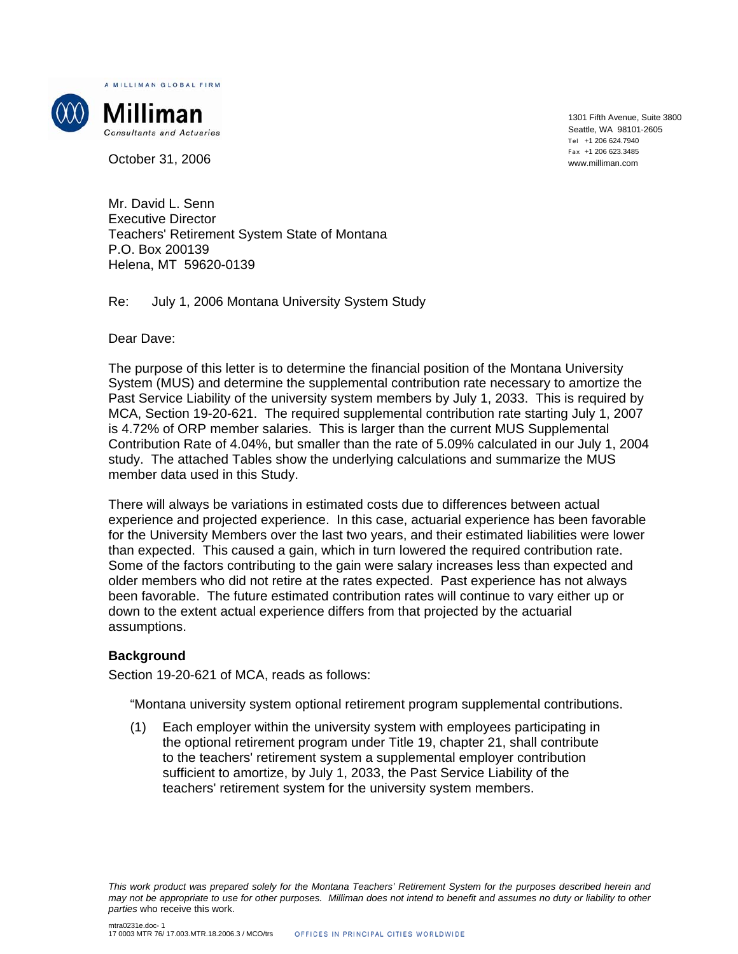A MILLIMAN GLOBAL FIRM



**Consultants and Actuaries** 

October 31, 2006

1301 Fifth Avenue, Suite 3800 Seattle, WA 98101-2605 Tel +1 206 624.7940 Fax +1 206 623.3485 www.milliman.com

Mr. David L. Senn Executive Director Teachers' Retirement System State of Montana P.O. Box 200139 Helena, MT 59620-0139

Re: July 1, 2006 Montana University System Study

Dear Dave:

The purpose of this letter is to determine the financial position of the Montana University System (MUS) and determine the supplemental contribution rate necessary to amortize the Past Service Liability of the university system members by July 1, 2033. This is required by MCA, Section 19-20-621. The required supplemental contribution rate starting July 1, 2007 is 4.72% of ORP member salaries. This is larger than the current MUS Supplemental Contribution Rate of 4.04%, but smaller than the rate of 5.09% calculated in our July 1, 2004 study. The attached Tables show the underlying calculations and summarize the MUS member data used in this Study.

There will always be variations in estimated costs due to differences between actual experience and projected experience. In this case, actuarial experience has been favorable for the University Members over the last two years, and their estimated liabilities were lower than expected. This caused a gain, which in turn lowered the required contribution rate. Some of the factors contributing to the gain were salary increases less than expected and older members who did not retire at the rates expected. Past experience has not always been favorable. The future estimated contribution rates will continue to vary either up or down to the extent actual experience differs from that projected by the actuarial assumptions.

#### **Background**

Section 19-20-621 of MCA, reads as follows:

"Montana university system optional retirement program supplemental contributions.

(1) Each employer within the university system with employees participating in the optional retirement program under Title 19, chapter 21, shall contribute to the teachers' retirement system a supplemental employer contribution sufficient to amortize, by July 1, 2033, the Past Service Liability of the teachers' retirement system for the university system members.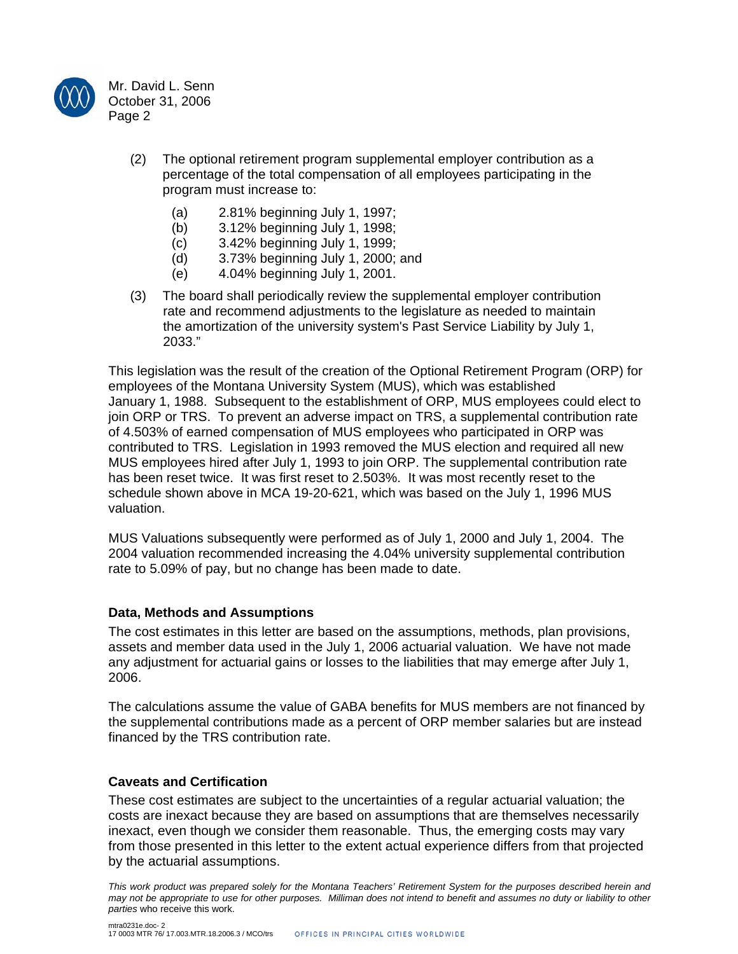

Mr. David L. Senn October 31, 2006 Page 2

- (2) The optional retirement program supplemental employer contribution as a percentage of the total compensation of all employees participating in the program must increase to:
	- (a) 2.81% beginning July 1, 1997;
	- (b) 3.12% beginning July 1, 1998;
	- (c) 3.42% beginning July 1, 1999;
	- (d) 3.73% beginning July 1, 2000; and
	- (e) 4.04% beginning July 1, 2001.
- (3) The board shall periodically review the supplemental employer contribution rate and recommend adjustments to the legislature as needed to maintain the amortization of the university system's Past Service Liability by July 1, 2033."

This legislation was the result of the creation of the Optional Retirement Program (ORP) for employees of the Montana University System (MUS), which was established January 1, 1988. Subsequent to the establishment of ORP, MUS employees could elect to join ORP or TRS. To prevent an adverse impact on TRS, a supplemental contribution rate of 4.503% of earned compensation of MUS employees who participated in ORP was contributed to TRS. Legislation in 1993 removed the MUS election and required all new MUS employees hired after July 1, 1993 to join ORP. The supplemental contribution rate has been reset twice. It was first reset to 2.503%. It was most recently reset to the schedule shown above in MCA 19-20-621, which was based on the July 1, 1996 MUS valuation.

MUS Valuations subsequently were performed as of July 1, 2000 and July 1, 2004. The 2004 valuation recommended increasing the 4.04% university supplemental contribution rate to 5.09% of pay, but no change has been made to date.

#### **Data, Methods and Assumptions**

The cost estimates in this letter are based on the assumptions, methods, plan provisions, assets and member data used in the July 1, 2006 actuarial valuation. We have not made any adjustment for actuarial gains or losses to the liabilities that may emerge after July 1, 2006.

The calculations assume the value of GABA benefits for MUS members are not financed by the supplemental contributions made as a percent of ORP member salaries but are instead financed by the TRS contribution rate.

### **Caveats and Certification**

These cost estimates are subject to the uncertainties of a regular actuarial valuation; the costs are inexact because they are based on assumptions that are themselves necessarily inexact, even though we consider them reasonable. Thus, the emerging costs may vary from those presented in this letter to the extent actual experience differs from that projected by the actuarial assumptions.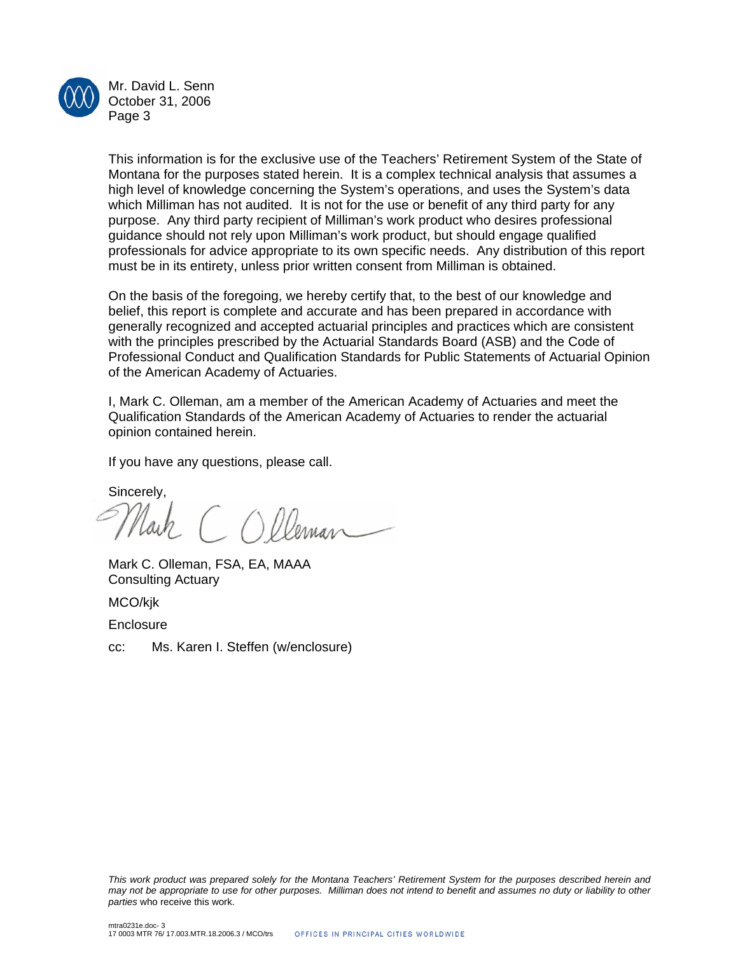

Mr. David L. Senn October 31, 2006 Page 3

This information is for the exclusive use of the Teachers' Retirement System of the State of Montana for the purposes stated herein. It is a complex technical analysis that assumes a high level of knowledge concerning the System's operations, and uses the System's data which Milliman has not audited. It is not for the use or benefit of any third party for any purpose. Any third party recipient of Milliman's work product who desires professional guidance should not rely upon Milliman's work product, but should engage qualified professionals for advice appropriate to its own specific needs. Any distribution of this report must be in its entirety, unless prior written consent from Milliman is obtained.

On the basis of the foregoing, we hereby certify that, to the best of our knowledge and belief, this report is complete and accurate and has been prepared in accordance with generally recognized and accepted actuarial principles and practices which are consistent with the principles prescribed by the Actuarial Standards Board (ASB) and the Code of Professional Conduct and Qualification Standards for Public Statements of Actuarial Opinion of the American Academy of Actuaries.

I, Mark C. Olleman, am a member of the American Academy of Actuaries and meet the Qualification Standards of the American Academy of Actuaries to render the actuarial opinion contained herein.

If you have any questions, please call.

Sincerely,

Nach COlleman

Mark C. Olleman, FSA, EA, MAAA Consulting Actuary

MCO/kjk

**Enclosure** 

cc: Ms. Karen I. Steffen (w/enclosure)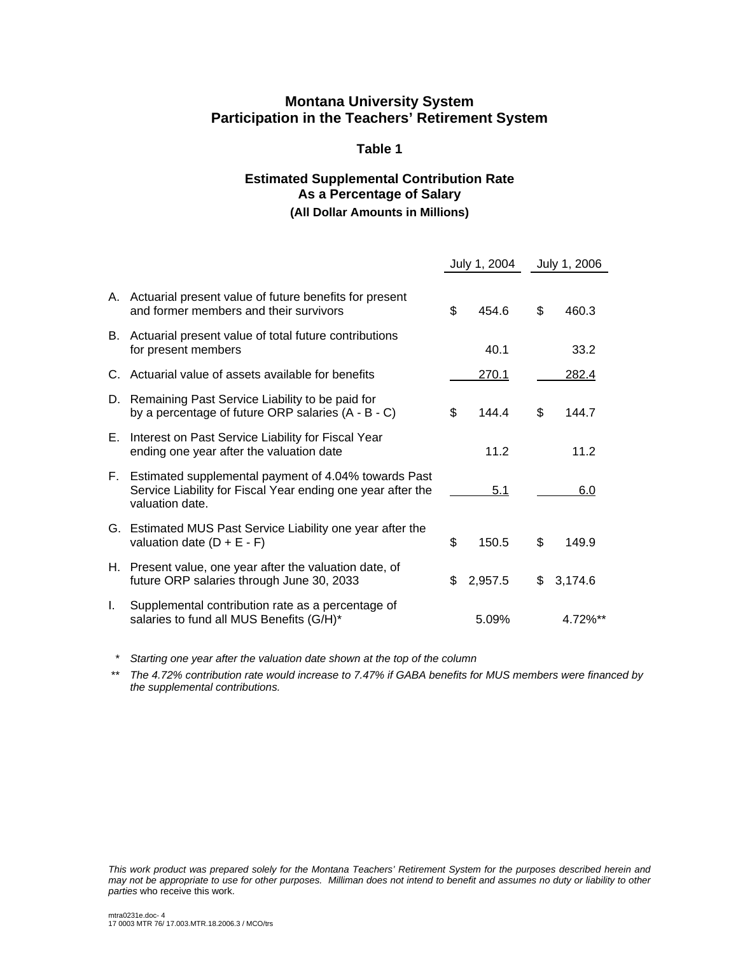# **Montana University System Participation in the Teachers' Retirement System**

#### **Table 1**

### **Estimated Supplemental Contribution Rate As a Percentage of Salary (All Dollar Amounts in Millions)**

|     |                                                                                                                                           | July 1, 2004 |         | July 1, 2006  |  |
|-----|-------------------------------------------------------------------------------------------------------------------------------------------|--------------|---------|---------------|--|
|     | A. Actuarial present value of future benefits for present<br>and former members and their survivors                                       | \$           | 454.6   | \$<br>460.3   |  |
|     | B. Actuarial present value of total future contributions<br>for present members                                                           |              | 40.1    | 33.2          |  |
| C.  | Actuarial value of assets available for benefits                                                                                          |              | 270.1   | 282.4         |  |
|     | D. Remaining Past Service Liability to be paid for<br>by a percentage of future ORP salaries (A - B - C)                                  | \$           | 144.4   | \$<br>144.7   |  |
| E., | Interest on Past Service Liability for Fiscal Year<br>ending one year after the valuation date                                            |              | 11.2    | 11.2          |  |
|     | F. Estimated supplemental payment of 4.04% towards Past<br>Service Liability for Fiscal Year ending one year after the<br>valuation date. |              | 5.1     | 6.0           |  |
|     | G. Estimated MUS Past Service Liability one year after the<br>valuation date $(D + E - F)$                                                | \$           | 150.5   | \$<br>149.9   |  |
|     | H. Present value, one year after the valuation date, of<br>future ORP salaries through June 30, 2033                                      | \$           | 2,957.5 | \$<br>3,174.6 |  |
| L.  | Supplemental contribution rate as a percentage of<br>salaries to fund all MUS Benefits (G/H)*                                             |              | 5.09%   | 4.72%**       |  |

 *\* Starting one year after the valuation date shown at the top of the column* 

 *\*\* The 4.72% contribution rate would increase to 7.47% if GABA benefits for MUS members were financed by the supplemental contributions.*